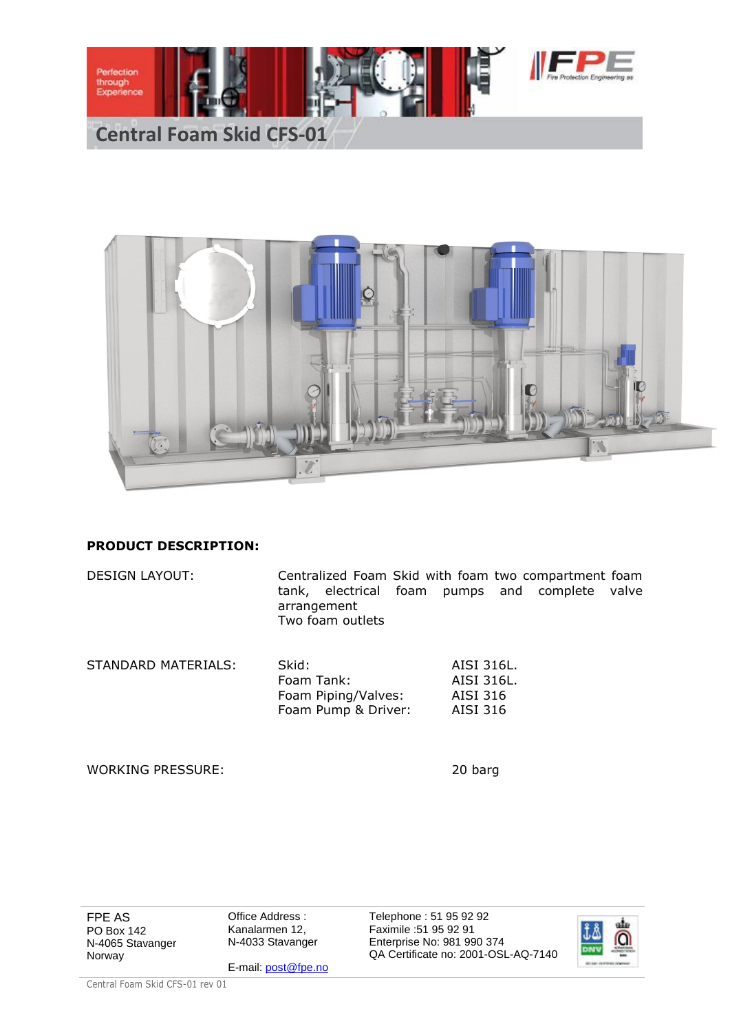



## **PRODUCT DESCRIPTION:**

DESIGN LAYOUT: Centralized Foam Skid with foam two compartment foam tank, electrical foam pumps and complete valve arrangement Two foam outlets

| STANDARD MATERIALS: | Skid:               | AISI 316L. |
|---------------------|---------------------|------------|
|                     | Foam Tank:          | AISI 316L. |
|                     | Foam Piping/Valves: | AISI 316   |
|                     | Foam Pump & Driver: | AISI 316   |
|                     |                     |            |

WORKING PRESSURE: 20 barg

FPE AS PO Box 142 N-4065 Stavanger Norway

Office Address : Kanalarmen 12, N-4033 Stavanger

E-mail: post@fpe.no

Telephone : 51 95 92 92 Faximile :51 95 92 91 Enterprise No: 981 990 374 QA Certificate no: 2001-OSL-AQ-7140



Central Foam Skid CFS-01 rev 01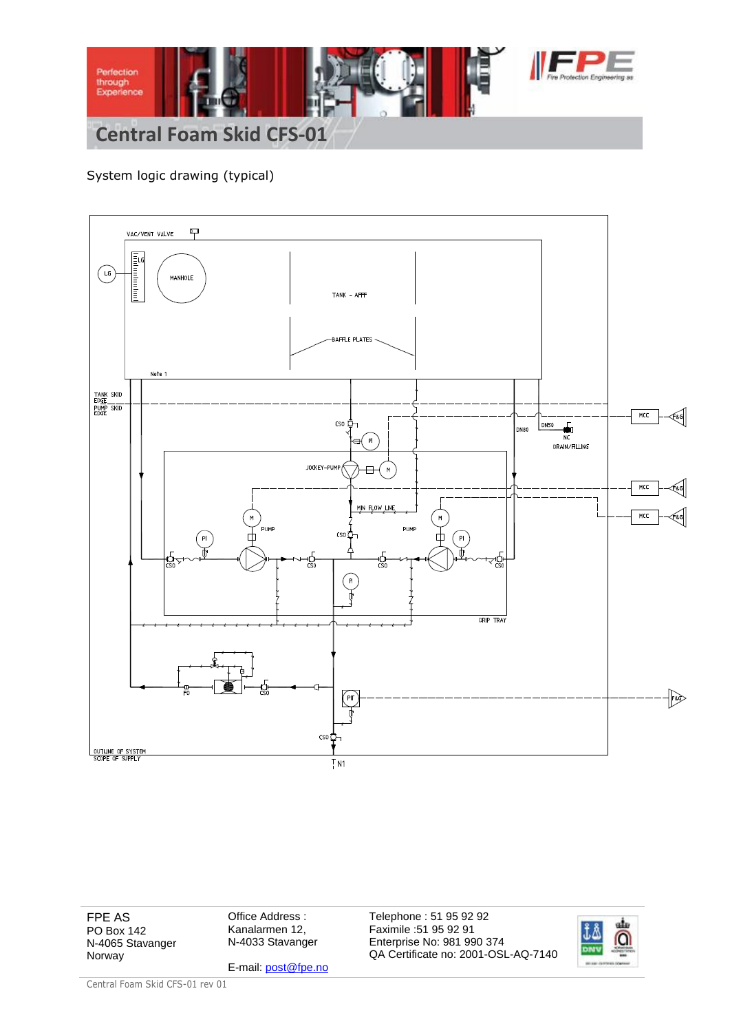

## System logic drawing (typical)



FPE AS PO Box 142 N-4065 Stavanger Norway

Office Address : Kanalarmen 12, N-4033 Stavanger

E-mail: post@fpe.no

Telephone : 51 95 92 92 Faximile :51 95 92 91 Enterprise No: 981 990 374 QA Certificate no: 2001-OSL-AQ-7140



Central Foam Skid CFS-01 rev 01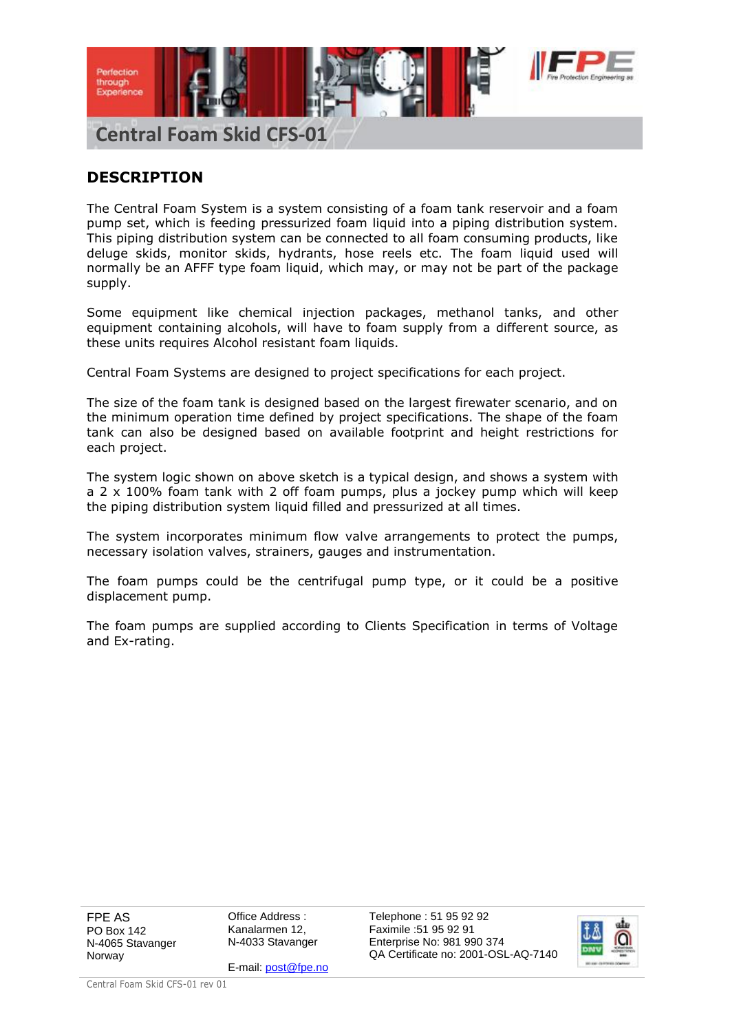

## **DESCRIPTION**

The Central Foam System is a system consisting of a foam tank reservoir and a foam pump set, which is feeding pressurized foam liquid into a piping distribution system. This piping distribution system can be connected to all foam consuming products, like deluge skids, monitor skids, hydrants, hose reels etc. The foam liquid used will normally be an AFFF type foam liquid, which may, or may not be part of the package supply.

Some equipment like chemical injection packages, methanol tanks, and other equipment containing alcohols, will have to foam supply from a different source, as these units requires Alcohol resistant foam liquids.

Central Foam Systems are designed to project specifications for each project.

The size of the foam tank is designed based on the largest firewater scenario, and on the minimum operation time defined by project specifications. The shape of the foam tank can also be designed based on available footprint and height restrictions for each project.

The system logic shown on above sketch is a typical design, and shows a system with a 2 x 100% foam tank with 2 off foam pumps, plus a jockey pump which will keep the piping distribution system liquid filled and pressurized at all times.

The system incorporates minimum flow valve arrangements to protect the pumps, necessary isolation valves, strainers, gauges and instrumentation.

The foam pumps could be the centrifugal pump type, or it could be a positive displacement pump.

The foam pumps are supplied according to Clients Specification in terms of Voltage and Ex-rating.

FPE AS PO Box 142 N-4065 Stavanger Norway

Office Address : Kanalarmen 12, N-4033 Stavanger

E-mail: post@fpe.no